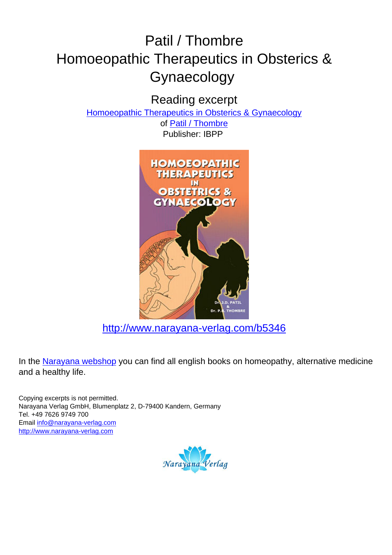# Patil / Thombre Homoeopathic Therapeutics in Obsterics & Gynaecology

Reading excerpt

[Homoeopathic Therapeutics in Obsterics & Gynaecology](http://www.narayana-verlag.com/Homoeopathic-Therapeutics-in-Obsterics-Gynaecology-J-D-Patil-P-B-Thombre/b5346/partner/leseprobe)

of [Patil / Thombre](http://www.narayana-verlag.com/Patil-Thombre/a1684/partner/leseprobe) Publisher: IBPP



[http://www.narayana-verlag.com/b5346](http://www.narayana-verlag.com/Homoeopathic-Therapeutics-in-Obsterics-Gynaecology-J-D-Patil-P-B-Thombre/b5346/partner/leseprobe)

In the [Narayana webshop](http://www.narayana-verlag.com/partner/leseprobe) you can find all english books on homeopathy, alternative medicine and a healthy life.

Copying excerpts is not permitted. Narayana Verlag GmbH, Blumenplatz 2, D-79400 Kandern, Germany Tel. +49 7626 9749 700 Email [info@narayana-verlag.com](mailto:info@narayana-verlag.com) [http://www.narayana-verlag.com](http://www.narayana-verlag.com/partner/leseprobe)

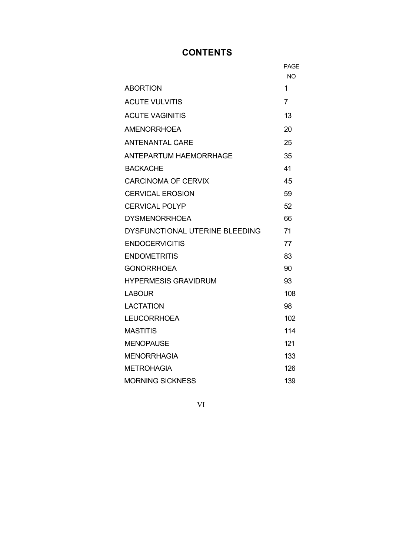# **CONTENTS**

|                                | PAGE      |
|--------------------------------|-----------|
|                                | <b>NO</b> |
| <b>ABORTION</b>                | 1         |
| <b>ACUTE VULVITIS</b>          | 7         |
| <b>ACUTE VAGINITIS</b>         | 13        |
| <b>AMENORRHOEA</b>             | 20        |
| <b>ANTENANTAL CARE</b>         | 25        |
| <b>ANTEPARTUM HAEMORRHAGE</b>  | 35        |
| <b>BACKACHE</b>                | 41        |
| <b>CARCINOMA OF CERVIX</b>     | 45        |
| <b>CERVICAL EROSION</b>        | 59        |
| <b>CERVICAL POLYP</b>          | 52        |
| <b>DYSMENORRHOEA</b>           | 66        |
| DYSFUNCTIONAL UTERINE BLEEDING | 71        |
| <b>ENDOCERVICITIS</b>          | 77        |
| <b>ENDOMETRITIS</b>            | 83        |
| <b>GONORRHOEA</b>              | 90        |
| <b>HYPERMESIS GRAVIDRUM</b>    | 93        |
| <b>LABOUR</b>                  | 108       |
| <b>LACTATION</b>               | 98        |
| <b>LEUCORRHOEA</b>             | 102       |
| <b>MASTITIS</b>                | 114       |
| <b>MENOPAUSE</b>               | 121       |
| <b>MENORRHAGIA</b>             | 133       |
| <b>METROHAGIA</b>              | 126       |
| <b>MORNING SICKNESS</b>        | 139       |

VI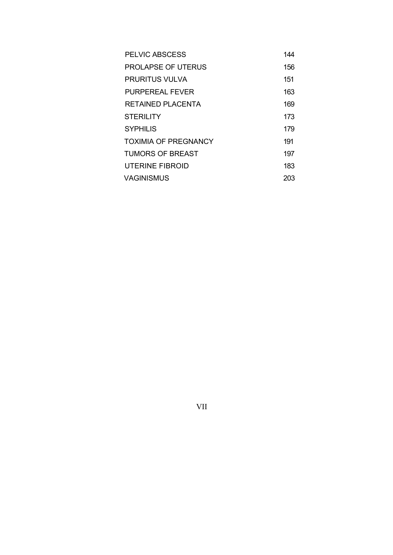| PELVIC ABSCESS              | 144 |
|-----------------------------|-----|
| <b>PROLAPSE OF UTERUS</b>   | 156 |
| PRURITUS VULVA              | 151 |
| PURPEREAL FEVER             | 163 |
| RETAINED PLACENTA           | 169 |
| <b>STERILITY</b>            | 173 |
| <b>SYPHILIS</b>             | 179 |
| <b>TOXIMIA OF PREGNANCY</b> | 191 |
| TUMORS OF BREAST            | 197 |
| UTERINE FIBROID             | 183 |
| <b>VAGINISMUS</b>           | 203 |

VII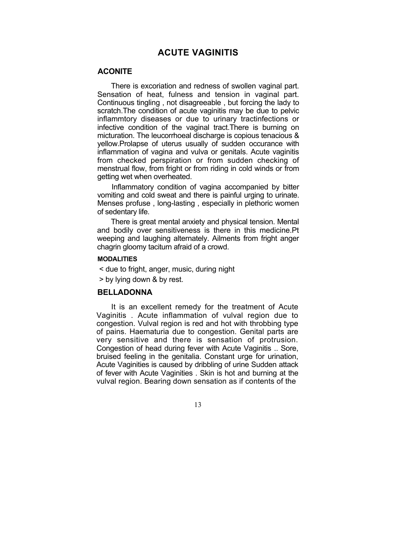# **ACUTE VAGINITIS**

# **ACONITE**

There is excoriation and redness of swollen vaginal part. Sensation of heat, fulness and tension in vaginal part. Continuous tingling , not disagreeable , but forcing the lady to scratch.The condition of acute vaginitis may be due to pelvic inflammtory diseases or due to urinary tractinfections or infective condition of the vaginal tract.There is burning on micturation. The leucorrhoeal discharge is copious tenacious & yellow.Prolapse of uterus usually of sudden occurance with inflammation of vagina and vulva or genitals. Acute vaginitis from checked perspiration or from sudden checking of menstrual flow, from fright or from riding in cold winds or from getting wet when overheated.

Inflammatory condition of vagina accompanied by bitter vomiting and cold sweat and there is painful urging to urinate. Menses profuse , long-lasting , especially in plethoric women of sedentary life.

There is great mental anxiety and physical tension. Mental and bodily over sensitiveness is there in this medicine.Pt weeping and laughing alternately. Ailments from fright anger chagrin gloomy taciturn afraid of a crowd.

## **MODALITIES**

< due to fright, anger, music, during night

> by lying down & by rest.

# **BELLADONNA**

It is an excellent remedy for the treatment of Acute Vaginitis . Acute inflammation of vulval region due to congestion. Vulval region is red and hot with throbbing type of pains. Haematuria due to congestion. Genital parts are very sensitive and there is sensation of protrusion. Congestion of head during fever with Acute Vaginitis .. Sore, bruised feeling in the genitalia. Constant urge for urination, Acute Vaginities is caused by dribbling of urine Sudden attack of fever with Acute Vaginities . Skin is hot and burning at the vulval region. Bearing down sensation as if contents of the

13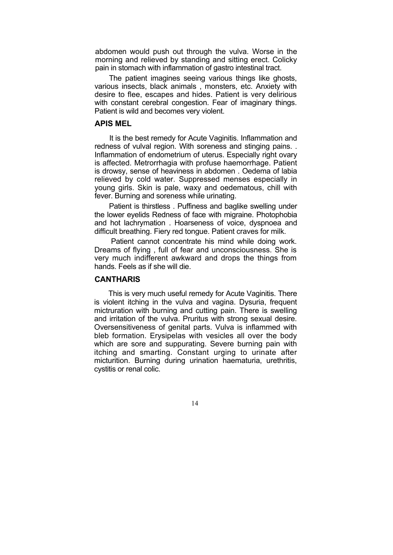abdomen would push out through the vulva. Worse in the morning and relieved by standing and sitting erect. Colicky pain in stomach with inflammation of gastro intestinal tract.

The patient imagines seeing various things like ghosts, various insects, black animals , monsters, etc. Anxiety with desire to flee, escapes and hides. Patient is very delirious with constant cerebral congestion. Fear of imaginary things. Patient is wild and becomes very violent.

#### **APIS MEL**

It is the best remedy for Acute Vaginitis. Inflammation and redness of vulval region. With soreness and stinging pains. . Inflammation of endometrium of uterus. Especially right ovary is affected. Metrorrhagia with profuse haemorrhage. Patient is drowsy, sense of heaviness in abdomen . Oedema of labia relieved by cold water. Suppressed menses especially in young girls. Skin is pale, waxy and oedematous, chill with fever. Burning and soreness while urinating.

Patient is thirstless . Puffiness and baglike swelling under the lower eyelids Redness of face with migraine. Photophobia and hot lachrymation . Hoarseness of voice, dyspnoea and difficult breathing. Fiery red tongue. Patient craves for milk.

Patient cannot concentrate his mind while doing work. Dreams of flying , full of fear and unconsciousness. She is very much indifferent awkward and drops the things from hands. Feels as if she will die.

# **CANTHARIS**

This is very much useful remedy for Acute Vaginitis. There is violent itching in the vulva and vagina. Dysuria, frequent mictruration with burning and cutting pain. There is swelling and irritation of the vulva. Pruritus with strong sexual desire. Oversensitiveness of genital parts. Vulva is inflammed with bleb formation. Erysipelas with vesicles all over the body which are sore and suppurating. Severe burning pain with itching and smarting. Constant urging to urinate after micturition. Burning during urination haematuria, urethritis, cystitis or renal colic.

14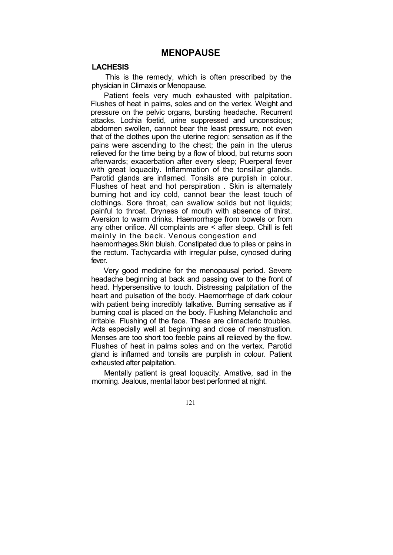## **LACHESIS**

This is the remedy, which is often prescribed by the physician in Climaxis or Menopause.

Patient feels very much exhausted with palpitation. Flushes of heat in palms, soles and on the vertex. Weight and pressure on the pelvic organs, bursting headache. Recurrent attacks. Lochia foetid, urine suppressed and unconscious; abdomen swollen, cannot bear the least pressure, not even that of the clothes upon the uterine region; sensation as if the pains were ascending to the chest; the pain in the uterus relieved for the time being by a flow of blood, but returns soon afterwards; exacerbation after every sleep; Puerperal fever with great loquacity. Inflammation of the tonsillar glands. Parotid glands are inflamed. Tonsils are purplish in colour. Flushes of heat and hot perspiration . Skin is alternately burning hot and icy cold, cannot bear the least touch of clothings. Sore throat, can swallow solids but not liquids; painful to throat. Dryness of mouth with absence of thirst. Aversion to warm drinks. Haemorrhage from bowels or from any other orifice. All complaints are < after sleep. Chill is felt mainly in the back. Venous congestion and

haemorrhages.Skin bluish. Constipated due to piles or pains in the rectum. Tachycardia with irregular pulse, cynosed during fever.

Very good medicine for the menopausal period. Severe headache beginning at back and passing over to the front of head. Hypersensitive to touch. Distressing palpitation of the heart and pulsation of the body. Haemorrhage of dark colour with patient being incredibly talkative. Burning sensative as if burning coal is placed on the body. Flushing Melancholic and irritable. Flushing of the face. These are climacteric troubles. Acts especially well at beginning and close of menstruation. Menses are too short too feeble pains all relieved by the flow. Flushes of heat in palms soles and on the vertex. Parotid gland is inflamed and tonsils are purplish in colour. Patient exhausted after palpitation.

Mentally patient is great loquacity. Amative, sad in the morning. Jealous, mental labor best performed at night.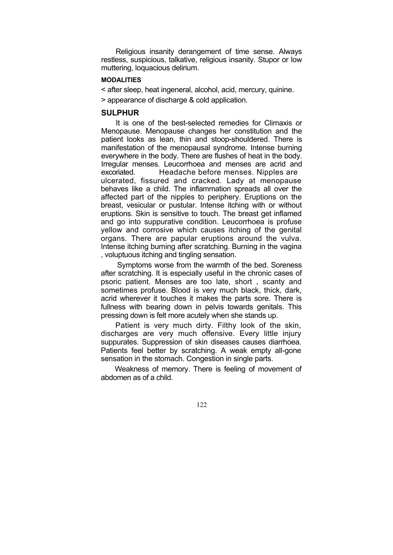Religious insanity derangement of time sense. Always restless, suspicious, talkative, religious insanity. Stupor or low muttering, loquacious delirium.

#### **MODALITIES**

< after sleep, heat ingeneral, alcohol, acid, mercury, quinine.

> appearance of discharge & cold application.

# **SULPHUR**

It is one of the best-selected remedies for Climaxis or Menopause. Menopause changes her constitution and the patient looks as lean, thin and stoop-shouldered. There is manifestation of the menopausal syndrome. Intense burning everywhere in the body. There are flushes of heat in the body. Irregular menses. Leucorrhoea and menses are acrid and excoriated. Headache before menses. Nipples are ulcerated, fissured and cracked. Lady at menopause behaves like a child. The inflammation spreads all over the affected part of the nipples to periphery. Eruptions on the breast, vesicular or pustular. Intense itching with or without eruptions. Skin is sensitive to touch. The breast get inflamed and go into suppurative condition. Leucorrhoea is profuse yellow and corrosive which causes itching of the genital organs. There are papular eruptions around the vulva. Intense itching burning after scratching. Burning in the vagina , voluptuous itching and tingling sensation.

Symptoms worse from the warmth of the bed. Soreness after scratching. It is especially useful in the chronic cases of psoric patient. Menses are too late, short , scanty and sometimes profuse. Blood is very much black, thick, dark, acrid wherever it touches it makes the parts sore. There is fullness with bearing down in pelvis towards genitals. This pressing down is felt more acutely when she stands up.

Patient is very much dirty. Filthy look of the skin, discharges are very much offensive. Every little injury suppurates. Suppression of skin diseases causes diarrhoea. Patients feel better by scratching. A weak empty all-gone sensation in the stomach. Congestion in single parts.

Weakness of memory. There is feeling of movement of abdomen as of a child.

122